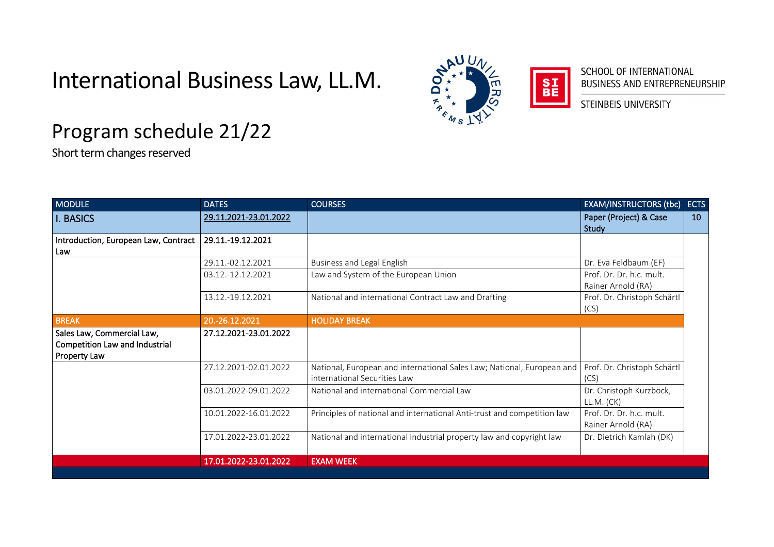## International Business Law, LL.M.



 $rac{S}{B}$ 



STEINBEIS UNIVERSITY

## Program schedule 21/22

Short term changes reserved

| <b>I. BASICS</b><br>Introduction, European Law, Contract<br>Law                     | 29.11.2021-23.01.2022<br>29.11.-19.12.2021<br>29.11.-02.12.2021<br>03.12.-12.12.2021<br>13.12.-19.12.2021 | Business and Legal English<br>Law and System of the European Union<br>National and international Contract Law and Drafting | Paper (Project) & Case<br>Study<br>Dr. Eva Feldbaum (EF)<br>Prof. Dr. Dr. h.c. mult.<br>Rainer Arnold (RA) | 10 <sup>°</sup> |
|-------------------------------------------------------------------------------------|-----------------------------------------------------------------------------------------------------------|----------------------------------------------------------------------------------------------------------------------------|------------------------------------------------------------------------------------------------------------|-----------------|
|                                                                                     |                                                                                                           |                                                                                                                            |                                                                                                            |                 |
|                                                                                     |                                                                                                           |                                                                                                                            |                                                                                                            |                 |
|                                                                                     |                                                                                                           |                                                                                                                            |                                                                                                            |                 |
|                                                                                     |                                                                                                           |                                                                                                                            |                                                                                                            |                 |
|                                                                                     |                                                                                                           |                                                                                                                            | Prof. Dr. Christoph Schärtl<br>(CS)                                                                        |                 |
| <b>BREAK</b>                                                                        | 20.-26.12.2021                                                                                            | <b>HOLIDAY BREAK</b>                                                                                                       |                                                                                                            |                 |
| Sales Law, Commercial Law,<br><b>Competition Law and Industrial</b><br>Property Law | 27.12.2021-23.01.2022                                                                                     |                                                                                                                            |                                                                                                            |                 |
|                                                                                     | 27.12.2021-02.01.2022                                                                                     | National, European and international Sales Law; National, European and<br>international Securities Law                     | Prof. Dr. Christoph Schärtl<br>(CS)                                                                        |                 |
|                                                                                     | 03.01.2022-09.01.2022                                                                                     | National and international Commercial Law                                                                                  | Dr. Christoph Kurzböck,<br>LL.M. (CK)                                                                      |                 |
|                                                                                     | 10.01.2022-16.01.2022                                                                                     | Principles of national and international Anti-trust and competition law                                                    | Prof. Dr. Dr. h.c. mult.<br>Rainer Arnold (RA)                                                             |                 |
|                                                                                     | 17.01.2022-23.01.2022                                                                                     | National and international industrial property law and copyright law                                                       | Dr. Dietrich Kamlah (DK)                                                                                   |                 |
|                                                                                     | 17.01.2022-23.01.2022                                                                                     | <b>EXAM WEEK</b>                                                                                                           |                                                                                                            |                 |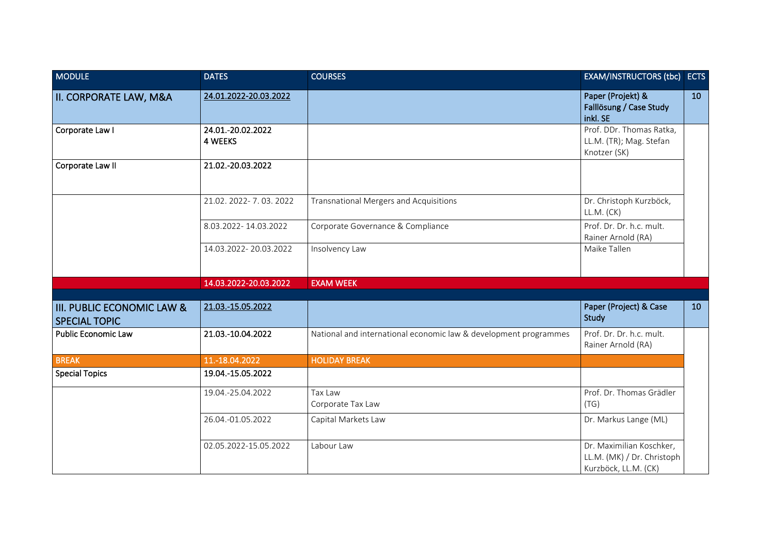| <b>MODULE</b>                                                 | <b>DATES</b>                 | <b>COURSES</b>                                                   | <b>EXAM/INSTRUCTORS (tbc) ECTS</b>                                             |                 |
|---------------------------------------------------------------|------------------------------|------------------------------------------------------------------|--------------------------------------------------------------------------------|-----------------|
| <b>II. CORPORATE LAW, M&amp;A</b>                             | 24.01.2022-20.03.2022        |                                                                  | Paper (Projekt) &<br>Falllösung / Case Study<br>inkl. SE                       | 10              |
| Corporate Law I                                               | 24.01.-20.02.2022<br>4 WEEKS |                                                                  | Prof. DDr. Thomas Ratka,<br>LL.M. (TR); Mag. Stefan<br>Knotzer (SK)            |                 |
| Corporate Law II                                              | 21.02.-20.03.2022            |                                                                  |                                                                                |                 |
|                                                               | 21.02. 2022- 7.03. 2022      | Transnational Mergers and Acquisitions                           | Dr. Christoph Kurzböck,<br>LL.M. (CK)                                          |                 |
|                                                               | 8.03.2022-14.03.2022         | Corporate Governance & Compliance                                | Prof. Dr. Dr. h.c. mult.<br>Rainer Arnold (RA)                                 |                 |
|                                                               | 14.03.2022-20.03.2022        | Insolvency Law                                                   | Maike Tallen                                                                   |                 |
|                                                               | 14.03.2022-20.03.2022        | <b>EXAM WEEK</b>                                                 |                                                                                |                 |
| <b>III. PUBLIC ECONOMIC LAW &amp;</b><br><b>SPECIAL TOPIC</b> | 21.03.-15.05.2022            |                                                                  | Paper (Project) & Case<br>Study                                                | 10 <sup>°</sup> |
| <b>Public Economic Law</b>                                    | 21.03.-10.04.2022            | National and international economic law & development programmes | Prof. Dr. Dr. h.c. mult.<br>Rainer Arnold (RA)                                 |                 |
| <b>BREAK</b>                                                  | 11.-18.04.2022               | <b>HOLIDAY BREAK</b>                                             |                                                                                |                 |
| <b>Special Topics</b>                                         | 19.04.-15.05.2022            |                                                                  |                                                                                |                 |
|                                                               | 19.04.-25.04.2022            | Tax Law<br>Corporate Tax Law                                     | Prof. Dr. Thomas Grädler<br>(TG)                                               |                 |
|                                                               | 26.04.-01.05.2022            | Capital Markets Law                                              | Dr. Markus Lange (ML)                                                          |                 |
|                                                               | 02.05.2022-15.05.2022        | Labour Law                                                       | Dr. Maximilian Koschker,<br>LL.M. (MK) / Dr. Christoph<br>Kurzböck, LL.M. (CK) |                 |